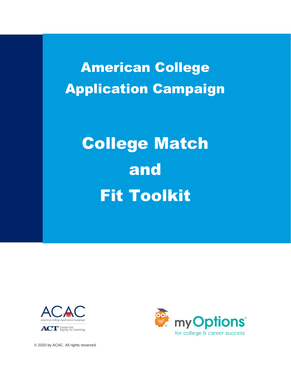American College Application Campaign

> College Match and Fit Toolkit



© 2020 by ACAC. All rights reserved.

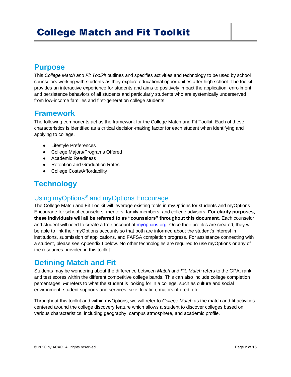## **Purpose**

This *College Match and Fit Toolkit* outlines and specifies activities and technology to be used by school counselors working with students as they explore educational opportunities after high school. The toolkit provides an interactive experience for students and aims to positively impact the application, enrollment, and persistence behaviors of all students and particularly students who are systemically underserved from low-income families and first-generation college students.

## **Framework**

The following components act as the framework for the College Match and Fit Toolkit. Each of these characteristics is identified as a critical decision-making factor for each student when identifying and applying to college.

- Lifestyle Preferences
- College Majors/Programs Offered
- Academic Readiness
- Retention and Graduation Rates
- College Costs/Affordability

## **Technology**

### Using myOptions® and myOptions Encourage

The College Match and Fit Toolkit will leverage existing tools in myOptions for students and myOptions Encourage for school counselors, mentors, family members, and college advisors. **For clarity purposes, these individuals will all be referred to as "counselors" throughout this document.** Each counselor and student will need to create a free account a[t myoptions.org.](https://students.myoptions.org/e-registration/acac) Once their profiles are created, they will be able to link their myOptions accounts so that both are informed about the student's interest in institutions, submission of applications, and FAFSA completion progress. For assistance connecting with a student, please see Appendix I below. No other technologies are required to use myOptions or any of the resources provided in this toolkit.

## **Defining Match and Fit**

Students may be wondering about the difference between *Match* and *Fit*. *Match* refers to the GPA, rank, and test scores within the different competitive college bands. This can also include college completion percentages. *Fit* refers to what the student is looking for in a college, such as culture and social environment, student supports and services, size, location, majors offered, etc.

Throughout this toolkit and within myOptions, we will refer to *College Match* as the match and fit activities centered around the college discovery feature which allows a student to discover colleges based on various characteristics, including geography, campus atmosphere, and academic profile.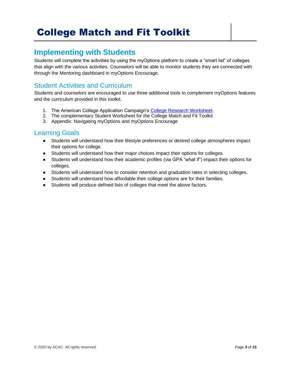## **Implementing with Students**

Students will complete the activities by using the myOptions platform to create a "smart list" of colleges that align with the various activities. Counselors will be able to monitor students they are connected with through the Mentoring dashboard in myOptions Encourage.

### Student Activities and Curriculum

Students and counselors are encouraged to use three additional tools to complement myOptions features and the curriculum provided in this toolkit.

- 1. The American College Application Campaign's [College Research Worksheet.](https://equityinlearning.act.org/wp-content/uploads/2020/04/College-Research-Worksheet_for-students_editable__Apr2020.pdf)
- 2. The complementary Student Worksheet for the College Match and Fit Toolkit
- 3. Appendix: Navigating myOptions and myOptions Encourage

### Learning Goals

- Students will understand how their lifestyle preferences or desired college atmospheres impact their options for college.
- Students will understand how their major choices impact their options for colleges.
- Students will understand how their academic profiles (via GPA "what if") impact their options for colleges.
- Students will understand how to consider retention and graduation rates in selecting colleges.
- Students will understand how affordable their college options are for their families.
- Students will produce defined lists of colleges that meet the above factors.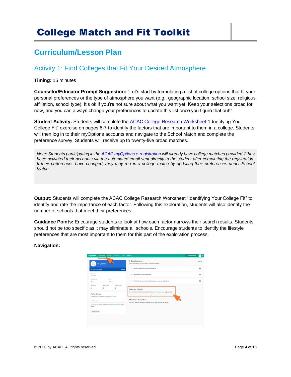## **Curriculum/Lesson Plan**

### Activity 1: Find Colleges that Fit Your Desired Atmosphere

#### **Timing:** 15 minutes

**Counselor/Educator Prompt Suggestion:** "Let's start by formulating a list of college options that fit your personal preferences or the type of atmosphere you want (e.g., geographic location, school size, religious affiliation, school type). It's ok if you're not sure about what you want yet. Keep your selections broad for now, and you can always change your preferences to update this list once you figure that out!"

**Student Activity:** Students will complete the [ACAC College Research Worksheet](https://equityinlearning.act.org/wp-content/uploads/2020/04/College-Research-Worksheet_for-students_editable__Apr2020.pdf) "Identifying Your College Fit" exercise on pages 6-7 to identify the factors that are important to them in a college. Students will then log in to their myOptions accounts and navigate to the School Match and complete the preference survey. Students will receive up to twenty-five broad matches.

*Note: Students participating in th[e ACAC myOptions e-registration](https://students.myoptions.org/e-registration/acac) will already have college matches provided if they*  have activated their accounts via the automated email sent directly to the student after completing the registration. *If their preferences have changed, they may re-run a college match by updating their preferences under School Match.* 

**Output:** Students will complete the ACAC College Research Worksheet "Identifying Your College Fit" to identify and rate the importance of each factor. Following this exploration, students will also identify the number of schools that meet their preferences.

**Guidance Points:** Encourage students to look at how each factor narrows their search results. Students should not be too specific as it may eliminate all schools. Encourage students to identify the lifestyle preferences that are most important to them for this part of the exploration process.

| myOptions                                                                                                | <b>General Manute</b><br>OWNER | <b>Bahalianings</b><br>Anna                                     | Search schools<br>makerous                                                                                 |          |
|----------------------------------------------------------------------------------------------------------|--------------------------------|-----------------------------------------------------------------|------------------------------------------------------------------------------------------------------------|----------|
|                                                                                                          | <b>Hi, Gabriell</b>            |                                                                 | 6 Checklist Items<br>These items are for your senior year, fall/winter semester.                           | View All |
| Your profile is 75% complete.                                                                            |                                | <b>ENGINE</b>                                                   | Ø<br>Re-visit or create your high school bucket list                                                       | ŵ        |
| <b>High School</b><br>Not added                                                                          |                                |                                                                 | Request letters of recommendation<br>×                                                                     | ŵ        |
| Graduation Vear<br>2021                                                                                  | <b>CFA</b><br>3.55             |                                                                 | Check with admissions offices about separate scholarship applications.<br>œ                                |          |
| <b>Saved Schools</b>                                                                                     | Applied Schools                | Accepted Schools                                                |                                                                                                            |          |
| o<br>o<br>0<br><b>FAFSA Status</b><br>To keep yourself on track, update the status of your FAFSA better. |                                |                                                                 | Matched Schools<br>You don't have any school matches! Fill out your preference survey to get started.<br>٠ |          |
| Not started<br>$\sim$                                                                                    |                                |                                                                 | Matched Scholarships<br>You don't have any scholarship matches! Fill out your Profile to get started.      |          |
| section.                                                                                                 |                                | Before you get started, check out our FAFSA guide in the advice |                                                                                                            |          |
| Update status                                                                                            |                                |                                                                 |                                                                                                            |          |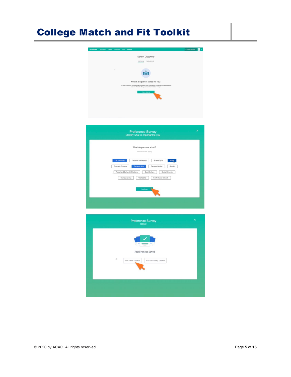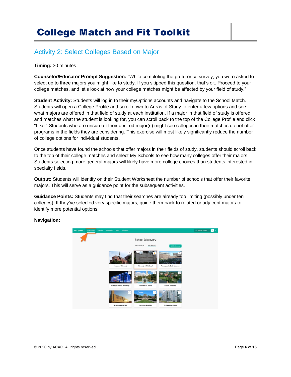### Activity 2: Select Colleges Based on Major

#### **Timing:** 30 minutes

**Counselor/Educator Prompt Suggestion:** "While completing the preference survey, you were asked to select up to three majors you might like to study. If you skipped this question, that's ok. Proceed to your college matches, and let's look at how your college matches might be affected by your field of study."

**Student Activity:** Students will log in to their myOptions accounts and navigate to the School Match. Students will open a College Profile and scroll down to Areas of Study to enter a few options and see what majors are offered in that field of study at each institution. If a major in that field of study is offered and matches what the student is looking for, you can scroll back to the top of the College Profile and click "Like." Students who are unsure of their desired major(s) might see colleges in their matches do not offer programs in the fields they are considering. This exercise will most likely significantly reduce the number of college options for individual students.

Once students have found the schools that offer majors in their fields of study, students should scroll back to the top of their college matches and select My Schools to see how many colleges offer their majors. Students selecting more general majors will likely have more college choices than students interested in specialty fields.

**Output:** Students will identify on their Student Worksheet the number of schools that offer their favorite majors. This will serve as a guidance point for the subsequent activities.

**Guidance Points:** Students may find that their searches are already too limiting (possibly under ten colleges). If they've selected very specific majors, guide them back to related or adjacent majors to identify more potential options.

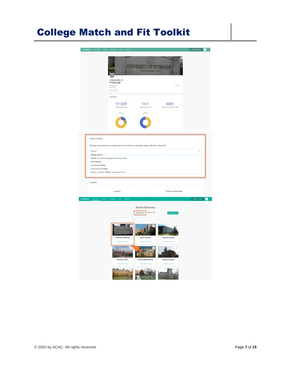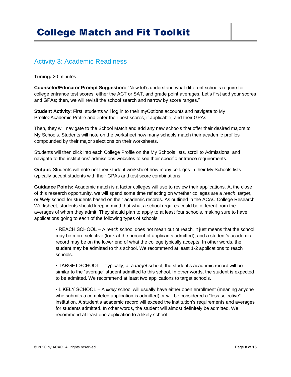### Activity 3: Academic Readiness

#### **Timing:** 20 minutes

**Counselor/Educator Prompt Suggestion:** "Now let's understand what different schools require for college entrance test scores, either the ACT or SAT, and grade point averages. Let's first add your scores and GPAs; then, we will revisit the school search and narrow by score ranges."

**Student Activity**: First, students will log in to their myOptions accounts and navigate to My Profile>Academic Profile and enter their best scores, if applicable, and their GPAs.

Then, they will navigate to the School Match and add any new schools that offer their desired majors to My Schools. Students will note on the worksheet how many schools match their academic profiles compounded by their major selections on their worksheets.

Students will then click into each College Profile on the My Schools lists, scroll to Admissions, and navigate to the institutions' admissions websites to see their specific entrance requirements.

**Output:** Students will note not their student worksheet how many colleges in their My Schools lists typically accept students with their GPAs and test score combinations.

**Guidance Points:** Academic match is a factor colleges will use to review their applications. At the close of this research opportunity, we will spend some time reflecting on whether colleges are a *reach*, *target*, or *likely* school for students based on their academic records. As outlined in the ACAC College Research Worksheet, students should keep in mind that what a school requires could be different from the averages of whom they admit. They should plan to apply to at least four schools, making sure to have applications going to each of the following types of schools:

• REACH SCHOOL – A *reach* school does not mean out of reach. It just means that the school may be more selective (look at the percent of applicants admitted), and a student's academic record may be on the lower end of what the college typically accepts. In other words, the student may be admitted to this school. We recommend at least 1-2 applications to reach schools.

• TARGET SCHOOL – Typically, at a *target* school, the student's academic record will be similar to the "average" student admitted to this school. In other words, the student is expected to be admitted. We recommend at least two applications to target schools.

• LIKELY SCHOOL – A *likely* school will usually have either open enrollment (meaning anyone who submits a completed application is admitted) or will be considered a "less selective" institution. A student's academic record will exceed the institution's requirements and averages for students admitted. In other words, the student will almost definitely be admitted. We recommend at least one application to a likely school.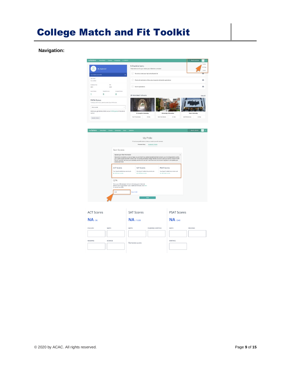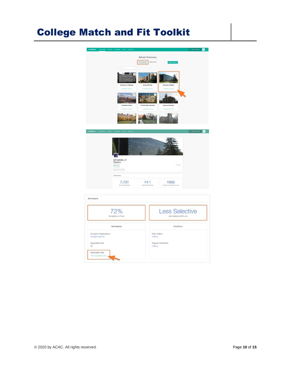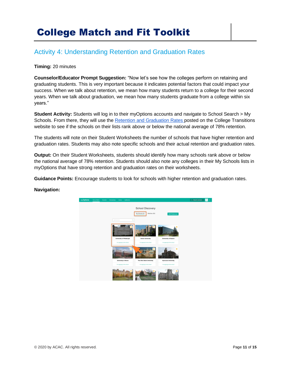### Activity 4: Understanding Retention and Graduation Rates

#### **Timing:** 20 minutes

**Counselor/Educator Prompt Suggestion:** "Now let's see how the colleges perform on retaining and graduating students. This is very important because it indicates potential factors that could impact your success. When we talk about retention, we mean how many students return to a college for their second years. When we talk about graduation, we mean how many students graduate from a college within six years."

**Student Activity:** Students will log in to their myOptions accounts and navigate to School Search > My Schools. From there, they will use the [Retention and Graduation Rates p](https://www.collegetransitions.com/dataverse/retention-and-graduation-rates)osted on the College Transitions website to see if the schools on their lists rank above or below the national average of 78% retention.

The students will note on their Student Worksheets the number of schools that have higher retention and graduation rates. Students may also note specific schools and their actual retention and graduation rates.

**Output:** On their Student Worksheets, students should identify how many schools rank above or below the national average of 78% retention. Students should also note any colleges in their My Schools lists in myOptions that have strong retention and graduation rates on their worksheets.

**Guidance Points:** Encourage students to look for schools with higher retention and graduation rates.

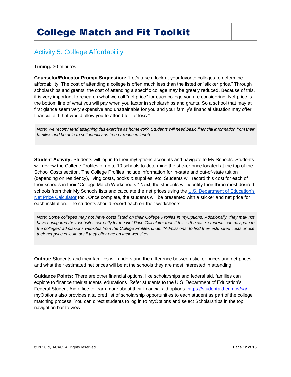### Activity 5: College Affordability

#### **Timing:** 30 minutes

**Counselor/Educator Prompt Suggestion:** "Let's take a look at your favorite colleges to determine affordability. The cost of attending a college is often much less than the listed or "sticker price." Through scholarships and grants, the cost of attending a specific college may be greatly reduced. Because of this, it is very important to research what we call "net price" for each college you are considering. Net price is the bottom line of what you will pay when you factor in scholarships and grants. So a school that may at first glance seem very expensive and unattainable for you and your family's financial situation may offer financial aid that would allow you to attend for far less."

*Note: We recommend assigning this exercise as homework. Students will need basic financial information from their families and be able to self-identify as free or reduced lunch.* 

**Student Activity:** Students will log in to their myOptions accounts and navigate to My Schools. Students will review the College Profiles of up to 10 schools to determine the sticker price located at the top of the School Costs section. The College Profiles include information for in-state and out-of-state tuition (depending on residency), living costs, books & supplies, etc. Students will record this cost for each of their schools in their "College Match Worksheets." Next, the students will identify their three most desired schools from their My Schools lists and calculate the net prices using the U.S. Department of Education's [Net Price Calculator](https://collegecost.ed.gov/net-price) tool. Once complete, the students will be presented with a sticker and net price for each institution. The students should record each on their worksheets.

*Note: Some colleges may not have costs listed on their College Profiles in myOptions. Additionally, they may not have configured their websites correctly for the Net Price Calculator tool. If this is the case, students can navigate to the colleges' admissions websites from the College Profiles under "Admissions" to find their estimated costs or use their net price calculators if they offer one on their websites.* 

**Output:** Students and their families will understand the difference between sticker prices and net prices and what their estimated net prices will be at the schools they are most interested in attending.

**Guidance Points:** There are other financial options, like scholarships and federal aid, families can explore to finance their students' educations. Refer students to the U.S. Department of Education's Federal Student Aid office to learn more about their financial aid options: [https://studentaid.ed.gov/sa/.](https://studentaid.ed.gov/sa/) myOptions also provides a tailored list of scholarship opportunities to each student as part of the college matching process. You can direct students to log in to myOptions and select Scholarships in the top navigation bar to view.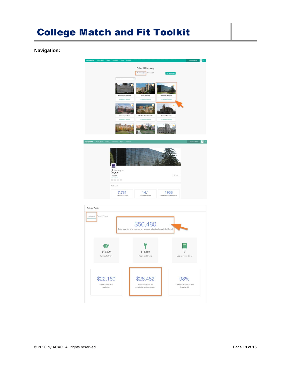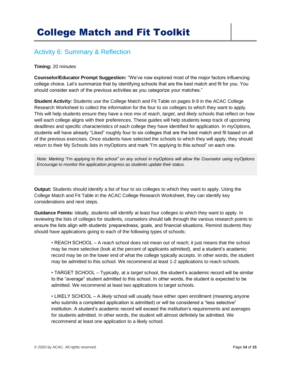### Activity 6: Summary & Reflection

#### **Timing:** 20 minutes

**Counselor/Educator Prompt Suggestion:** "We've now explored most of the major factors influencing college choice. Let's summarize that by identifying schools that are the best match and fit for you. You should consider each of the previous activities as you categorize your matches."

**Student Activity:** Students use the College Match and Fit Table on pages 8-9 in the ACAC College Research Worksheet to collect the information for the four to six colleges to which they want to apply. This will help students ensure they have a nice mix of *reach*, *target*, and *likely* schools that reflect on how well each college aligns with their preferences. These guides will help students keep track of upcoming deadlines and specific characteristics of each college they have identified for application. In myOptions, students will have already "Liked" roughly four to six colleges that are the best match and fit based on all of the previous exercises. Once students have selected the schools to which they will apply, they should return to their My Schools lists in myOptions and mark "I'm applying to this school" on each one.

*Note: Marking "I'm applying to this school" on any school in myOptions will allow the Counselor using myOptions Encourage to monitor the application progress as students update their status.* 

**Output:** Students should identify a list of four to six colleges to which they want to apply. Using the College Match and Fit Table in the ACAC College Research Worksheet, they can identify key considerations and next steps.

**Guidance Points:** Ideally, students will identify at least four colleges to which they want to apply. In reviewing the lists of colleges for students, counselors should talk through the various research points to ensure the lists align with students' preparedness, goals, and financial situations. Remind students they should have applications going to each of the following types of schools:

• REACH SCHOOL – A *reach* school does not mean out of reach; it just means that the school may be more selective (look at the percent of applicants admitted), and a student's academic record may be on the lower end of what the college typically accepts. In other words, the student may be admitted to this school. We recommend at least 1-2 applications to reach schools.

• TARGET SCHOOL – Typically, at a *target* school, the student's academic record will be similar to the "average" student admitted to this school. In other words, the student is expected to be admitted. We recommend at least two applications to target schools.

• LIKELY SCHOOL – A *likely* school will usually have either open enrollment (meaning anyone who submits a completed application is admitted) or will be considered a "less selective" institution. A student's academic record will exceed the institution's requirements and averages for students admitted. In other words, the student will almost definitely be admitted. We recommend at least one application to a likely school.